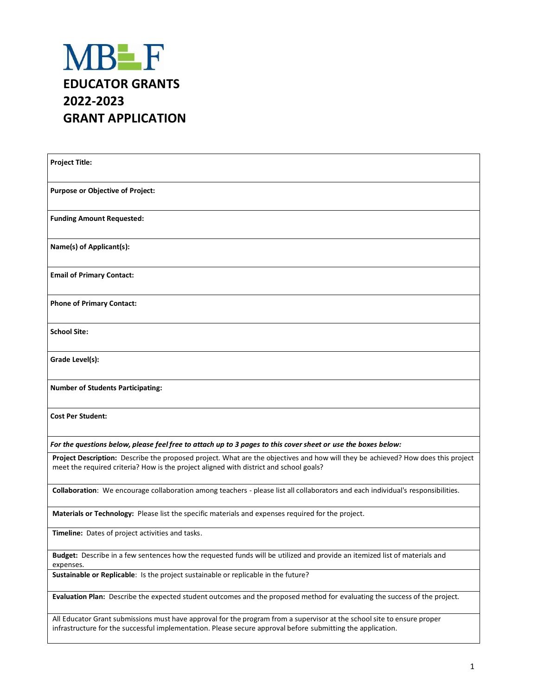

| <b>Project Title:</b>                                                                                                                                                                                                                  |
|----------------------------------------------------------------------------------------------------------------------------------------------------------------------------------------------------------------------------------------|
| <b>Purpose or Objective of Project:</b>                                                                                                                                                                                                |
| <b>Funding Amount Requested:</b>                                                                                                                                                                                                       |
| Name(s) of Applicant(s):                                                                                                                                                                                                               |
| <b>Email of Primary Contact:</b>                                                                                                                                                                                                       |
| <b>Phone of Primary Contact:</b>                                                                                                                                                                                                       |
| <b>School Site:</b>                                                                                                                                                                                                                    |
| Grade Level(s):                                                                                                                                                                                                                        |
| <b>Number of Students Participating:</b>                                                                                                                                                                                               |
| <b>Cost Per Student:</b>                                                                                                                                                                                                               |
| For the questions below, please feel free to attach up to 3 pages to this cover sheet or use the boxes below:                                                                                                                          |
| Project Description: Describe the proposed project. What are the objectives and how will they be achieved? How does this project<br>meet the required criteria? How is the project aligned with district and school goals?             |
| Collaboration: We encourage collaboration among teachers - please list all collaborators and each individual's responsibilities.                                                                                                       |
| Materials or Technology: Please list the specific materials and expenses required for the project.                                                                                                                                     |
| Timeline: Dates of project activities and tasks.                                                                                                                                                                                       |
| Budget: Describe in a few sentences how the requested funds will be utilized and provide an itemized list of materials and<br>expenses.                                                                                                |
| Sustainable or Replicable: Is the project sustainable or replicable in the future?                                                                                                                                                     |
| Evaluation Plan: Describe the expected student outcomes and the proposed method for evaluating the success of the project.                                                                                                             |
| All Educator Grant submissions must have approval for the program from a supervisor at the school site to ensure proper<br>infrastructure for the successful implementation. Please secure approval before submitting the application. |